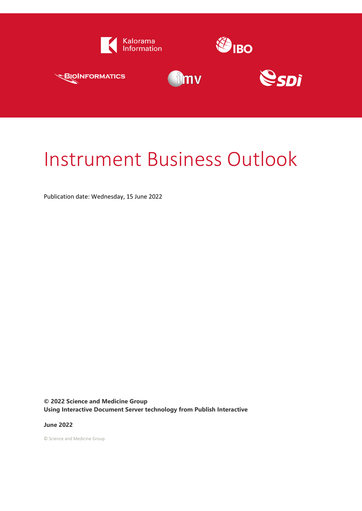

# Instrument Business Outlook

Publication date: Wednesday, 15 June 2022

**© 2022 Science and Medicine Group Using Interactive Document Server technology from Publish Interactive**

**June 2022**

© Science and Medicine Group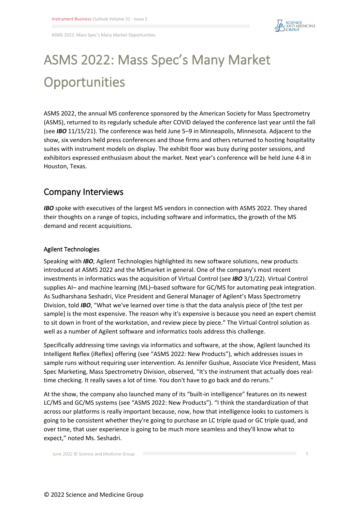

ASMS 2022: Mass Spec's Many Market Opportunities

## **ASMS 2022: Mass Spec's Many Market Opportunities**

ASMS 2022, the annual MS conference sponsored by the American Society for Mass Spectrometry (ASMS), returned to its regularly schedule after COVID delayed the conference last year until the fall (see *IBO* 11/15/21). The conference was held June 5–9 in Minneapolis, Minnesota. Adjacent to the show, six vendors held press conferences and those firms and others returned to hosting hospitality suites with instrument models on display. The exhibit floor was busy during poster sessions, and exhibitors expressed enthusiasm about the market. Next year's conference will be held June 4-8 in Houston, Texas.

### **Company Interviews**

**IBO** spoke with executives of the largest MS vendors in connection with ASMS 2022. They shared their thoughts on a range of topics, including software and informatics, the growth of the MS demand and recent acquisitions.

#### **Agilent Technologies**

Speaking with *IBO*, Agilent Technologies highlighted its new software solutions, new products introduced at ASMS 2022 and the MSmarket in general. One of the company's most recent investments in informatics was the acquisition of Virtual Control (see *IBO* 3/1/22). Virtual Control supplies AI– and machine learning (ML)–based software for GC/MS for automating peak integration. As Sudharshana Seshadri, Vice President and General Manager of Agilent's Mass Spectrometry Division, told *IBO*, "What we've learned over time is that the data analysis piece of [the test per sample] is the most expensive. The reason why it's expensive is because you need an expert chemist to sit down in front of the workstation, and review piece by piece." The Virtual Control solution as well as a number of Agilent software and informatics tools address this challenge.

Specifically addressing time savings via informatics and software, at the show, Agilent launched its Intelligent Reflex (iReflex) offering (see "ASMS 2022: New Products"), which addresses issues in sample runs without requiring user intervention. As Jennifer Gushue, Associate Vice President, Mass Spec Marketing, Mass Spectrometry Division, observed, "It's the instrument that actually does realtime checking. It really saves a lot of time. You don't have to go back and do reruns."

At the show, the company also launched many of its "built-in intelligence" features on its newest LC/MS and GC/MS systems (see "ASMS 2022: New Products"). "I think the standardization of that across our platforms is really important because, now, how that intelligence looks to customers is going to be consistent whether they're going to purchase an LC triple quad or GC triple quad, and over time, that user experience is going to be much more seamless and they'll know what to expect," noted Ms. Seshadri.

June 2022 © Science and Medicine Group 5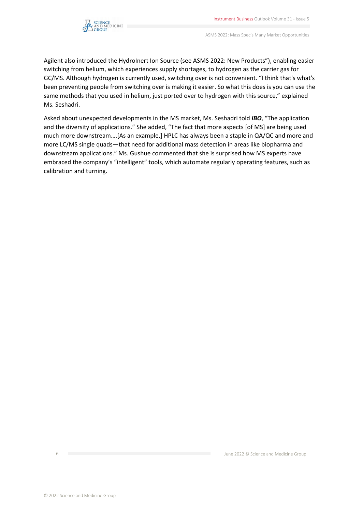

ASMS 2022: Mass Spec's Many Market Opportunities

Agilent also introduced the HydroInert Ion Source (see ASMS 2022: New Products"), enabling easier switching from helium, which experiences supply shortages, to hydrogen as the carrier gas for GC/MS. Although hydrogen is currently used, switching over is not convenient. "I think that's what's been preventing people from switching over is making it easier. So what this does is you can use the same methods that you used in helium, just ported over to hydrogen with this source," explained Ms. Seshadri.

Asked about unexpected developments in the MS market, Ms. Seshadri told *IBO*, "The application and the diversity of applications." She added, "The fact that more aspects [of MS] are being used much more downstream….[As an example,] HPLC has always been a staple in QA/QC and more and more LC/MS single quads—that need for additional mass detection in areas like biopharma and downstream applications." Ms. Gushue commented that she is surprised how MS experts have embraced the company's "intelligent" tools, which automate regularly operating features, such as calibration and turning.

6 June 2022 © Science and Medicine Group